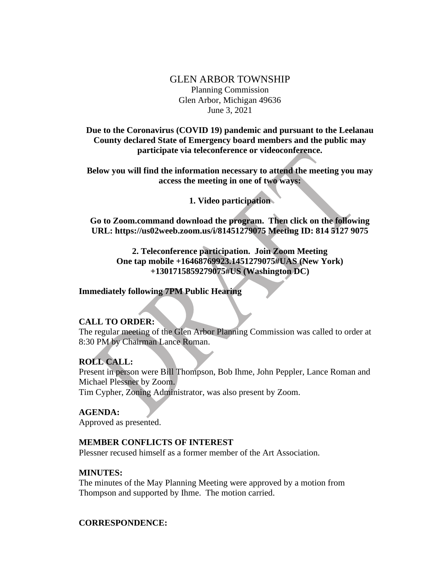### GLEN ARBOR TOWNSHIP Planning Commission Glen Arbor, Michigan 49636 June 3, 2021

**Due to the Coronavirus (COVID 19) pandemic and pursuant to the Leelanau County declared State of Emergency board members and the public may participate via teleconference or videoconference.**

**Below you will find the information necessary to attend the meeting you may access the meeting in one of two ways:**

**1. Video participation**

**Go to Zoom.command download the program. Then click on the following URL: https://us02weeb.zoom.us/i/81451279075 Meeting ID: 814 5127 9075**

**2. Teleconference participation. Join Zoom Meeting One tap mobile +16468769923.1451279075#UAS (New York) +1301715859279075#US (Washington DC)**

### **Immediately following 7PM Public Hearing**

### **CALL TO ORDER:**

The regular meeting of the Glen Arbor Planning Commission was called to order at 8:30 PM by Chairman Lance Roman.

# **ROLL CALL:**

Present in person were Bill Thompson, Bob Ihme, John Peppler, Lance Roman and Michael Plessner by Zoom.

Tim Cypher, Zoning Administrator, was also present by Zoom.

### **AGENDA:**

Approved as presented.

### **MEMBER CONFLICTS OF INTEREST**

Plessner recused himself as a former member of the Art Association.

### **MINUTES:**

The minutes of the May Planning Meeting were approved by a motion from Thompson and supported by Ihme. The motion carried.

### **CORRESPONDENCE:**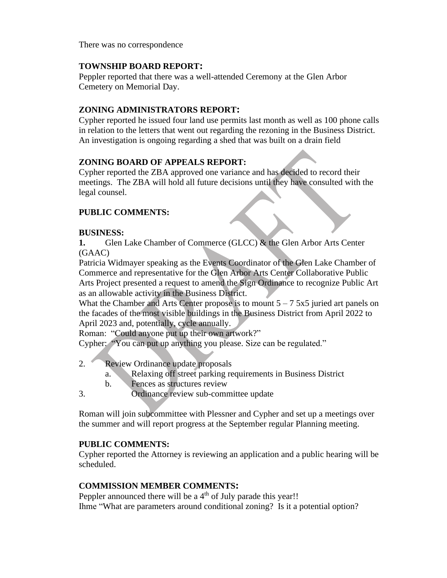There was no correspondence

### **TOWNSHIP BOARD REPORT:**

Peppler reported that there was a well-attended Ceremony at the Glen Arbor Cemetery on Memorial Day.

### **ZONING ADMINISTRATORS REPORT:**

Cypher reported he issued four land use permits last month as well as 100 phone calls in relation to the letters that went out regarding the rezoning in the Business District. An investigation is ongoing regarding a shed that was built on a drain field

### **ZONING BOARD OF APPEALS REPORT:**

Cypher reported the ZBA approved one variance and has decided to record their meetings. The ZBA will hold all future decisions until they have consulted with the legal counsel.

## **PUBLIC COMMENTS:**

### **BUSINESS:**

**1.** Glen Lake Chamber of Commerce (GLCC) & the Glen Arbor Arts Center (GAAC)

Patricia Widmayer speaking as the Events Coordinator of the Glen Lake Chamber of Commerce and representative for the Glen Arbor Arts Center Collaborative Public Arts Project presented a request to amend the Sign Ordinance to recognize Public Art as an allowable activity in the Business District.

What the Chamber and Arts Center propose is to mount  $5 - 75x5$  juried art panels on the facades of the most visible buildings in the Business District from April 2022 to April 2023 and, potentially, cycle annually.

Roman: "Could anyone put up their own artwork?"

Cypher: "You can put up anything you please. Size can be regulated."

- 2. Review Ordinance update proposals
	- a. Relaxing off street parking requirements in Business District
	- b. Fences as structures review
- 3. Ordinance review sub-committee update

Roman will join subcommittee with Plessner and Cypher and set up a meetings over the summer and will report progress at the September regular Planning meeting.

### **PUBLIC COMMENTS:**

Cypher reported the Attorney is reviewing an application and a public hearing will be scheduled.

### **COMMISSION MEMBER COMMENTS:**

Peppler announced there will be a  $4<sup>th</sup>$  of July parade this year!! Ihme "What are parameters around conditional zoning? Is it a potential option?